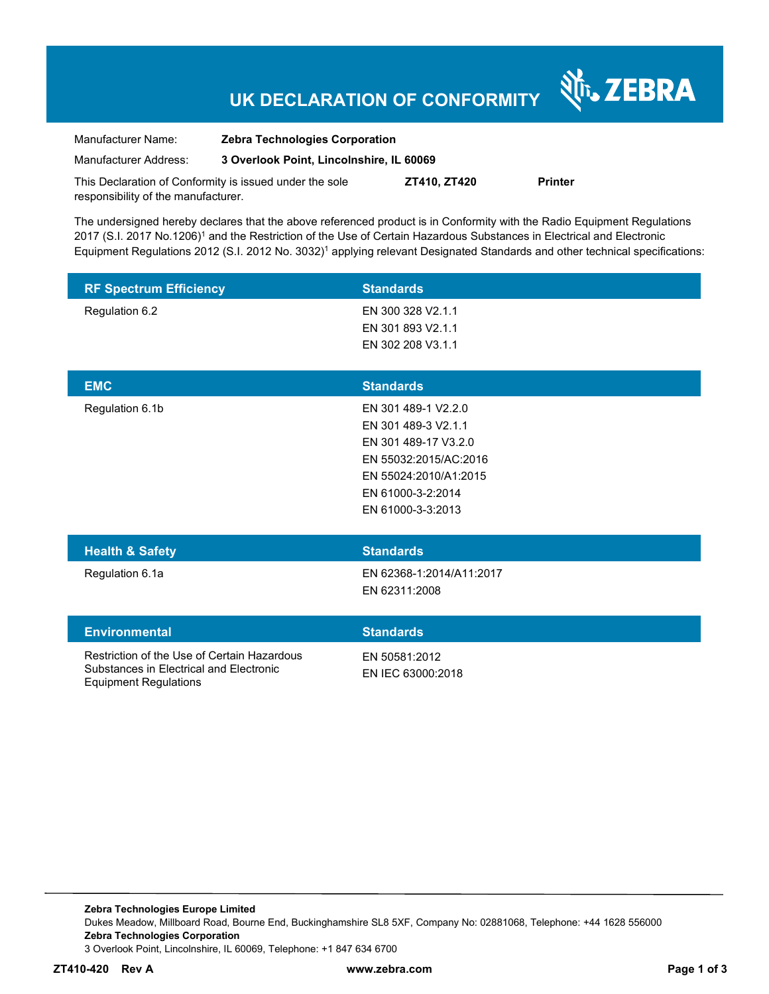# **UK DECLARATION OF CONFORMITY**

र्शे<sub>ं</sub> ZEBRA

| Manufacturer Name:                                      | <b>Zebra Technologies Corporation</b>    |              |                |
|---------------------------------------------------------|------------------------------------------|--------------|----------------|
| Manufacturer Address:                                   | 3 Overlook Point, Lincolnshire, IL 60069 |              |                |
| This Declaration of Conformity is issued under the sole |                                          | ZT410. ZT420 | <b>Printer</b> |

The undersigned hereby declares that the above referenced product is in Conformity with the Radio Equipment Regulations 2017 (S.I. 2017 No.1206)<sup>1</sup> and the Restriction of the Use of Certain Hazardous Substances in Electrical and Electronic Equipment Regulations 2012 (S.I. 2012 No. 3032)<sup>1</sup> applying relevant Designated Standards and other technical specifications:

| <b>RF Spectrum Efficiency</b> | <b>Standards</b>  |
|-------------------------------|-------------------|
| Regulation 6.2                | EN 300 328 V2.1.1 |
|                               | EN 301 893 V2.1.1 |
|                               | EN 302 208 V3.1.1 |
|                               |                   |

| <b>EMC</b>                 | <b>Standards</b>      |
|----------------------------|-----------------------|
| Regulation 6.1b            | EN 301 489-1 V2.2.0   |
|                            | EN 301 489-3 V2.1.1   |
|                            | EN 301 489-17 V3.2.0  |
|                            | EN 55032:2015/AC:2016 |
|                            | EN 55024:2010/A1:2015 |
|                            | EN 61000-3-2:2014     |
|                            | EN 61000-3-3:2013     |
|                            |                       |
| <b>Health &amp; Safety</b> | <b>Standards</b>      |

responsibility of the manufacturer.

Regulation 6.1a EN 62368-1:2014/A11:2017 EN 62311:2008

#### **Environmental Standards**

Restriction of the Use of Certain Hazardous Substances in Electrical and Electronic Equipment Regulations

EN 50581:2012

EN IEC 63000:2018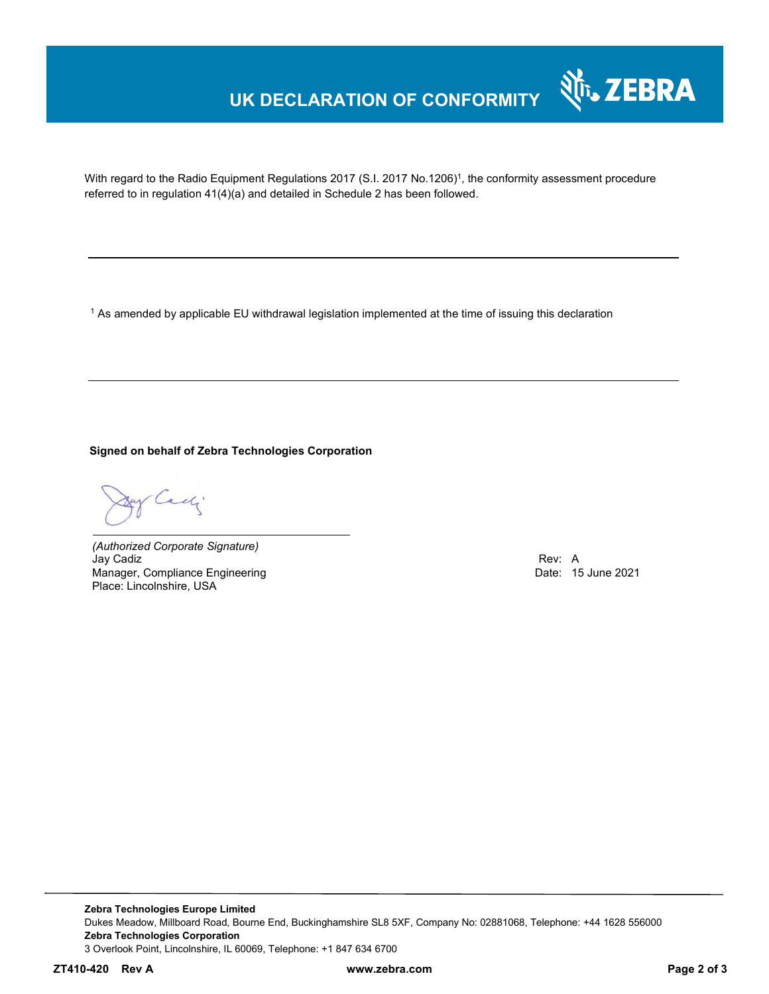# **UK DECLARATION OF CONFORMITY**



With regard to the Radio Equipment Regulations 2017 (S.I. 2017 No.1206)<sup>1</sup>, the conformity assessment procedure referred to in regulation 41(4)(a) and detailed in Schedule 2 has been followed.

 $^{\rm 1}$  As amended by applicable EU withdrawal legislation implemented at the time of issuing this declaration

**Signed on behalf of Zebra Technologies Corporation** 

Cady

*(Authorized Corporate Signature)* Jay Cadiz Rev: A Manager, Compliance Engineering **Date: 15 June 2021 Date: 15 June 2021** Place: Lincolnshire, USA